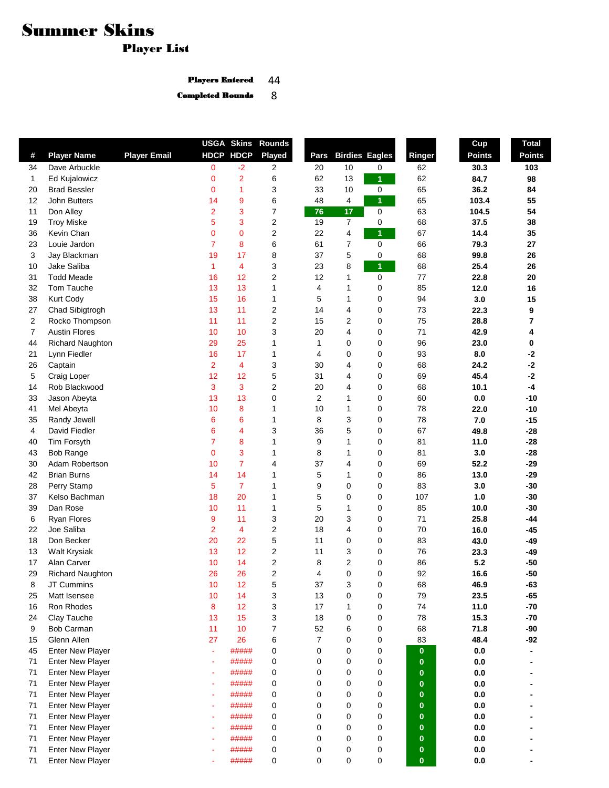## Summer Skins

ı

Player List

44 Players Entered

Completed Rounds 8

|              |                         |                     |                          |                | <b>USGA Skins Rounds</b> |                |                |                       |              | Cup            | <b>Total</b>  |
|--------------|-------------------------|---------------------|--------------------------|----------------|--------------------------|----------------|----------------|-----------------------|--------------|----------------|---------------|
| #            | <b>Player Name</b>      | <b>Player Email</b> |                          | HDCP HDCP      | <b>Played</b>            | Pars           |                | <b>Birdies Eagles</b> | Ringer       | <b>Points</b>  | <b>Points</b> |
| 34           | Dave Arbuckle           |                     | 0                        | $-2$           | 2                        | 20             | 10             | 0                     | 62           | 30.3           | 103           |
| $\mathbf{1}$ | Ed Kujalowicz           |                     | 0                        | $\overline{2}$ | 6                        | 62             | 13             | $\mathbf{1}$          | 62           | 84.7           | 98            |
| 20           | <b>Brad Bessler</b>     |                     | 0                        | 1              | 3                        | 33             | 10             | 0                     | 65           | 36.2           | 84            |
| 12           | John Butters            |                     | 14                       | 9              | 6                        | 48             | 4              | $\mathbf{1}$          | 65           | 103.4          | 55            |
| 11           | Don Alley               |                     | $\overline{\mathbf{c}}$  | 3              | 7                        | 76             | 17             | $\pmb{0}$             | 63           | 104.5          | 54            |
| 19           | <b>Troy Miske</b>       |                     | 5                        | 3              | 2                        | 19             | $\overline{7}$ | $\pmb{0}$             | 68           | 37.5           | 38            |
| 36           | Kevin Chan              |                     | $\mathbf 0$              | 0              | 2                        | 22             | 4              | 1                     | 67           | 14.4           | 35            |
| 23           | Louie Jardon            |                     | 7                        | 8              | 6                        | 61             | 7              | 0                     | 66           | 79.3           | 27            |
| 3            | Jay Blackman            |                     | 19                       | 17             | 8                        | 37             | 5              | 0                     | 68           | 99.8           | 26            |
| 10           | Jake Saliba             |                     | 1                        | 4              | 3                        | 23             | 8              | 1                     | 68           | 25.4           | 26            |
| 31           | <b>Todd Meade</b>       |                     | 16                       | 12             | 2                        | 12             | 1              | 0                     | 77           | 22.8           | 20            |
| 32           | Tom Tauche              |                     | 13                       | 13             | 1                        | $\overline{4}$ | 1              | 0                     | 85           | 12.0           | 16            |
| 38           | Kurt Cody               |                     | 15                       | 16             | 1                        | 5              | 1              | 0                     | 94           | 3.0            | 15            |
| 27           | Chad Sibigtrogh         |                     | 13                       | 11             | 2                        | 14             | 4              | 0                     | 73           | 22.3           | 9             |
| 2            | Rocko Thompson          |                     | 11                       | 11             | 2                        | 15             | 2              | 0                     | 75           | 28.8           | 7             |
| 7            | <b>Austin Flores</b>    |                     | 10                       | 10             | 3                        | 20             | 4              | 0                     | 71           | 42.9           | 4             |
| 44           | Richard Naughton        |                     | 29                       | 25             | 1                        | $\mathbf{1}$   | 0              | 0                     | 96           | 23.0           | 0             |
| 21           | Lynn Fiedler            |                     | 16                       | 17             | 1                        | 4              | 0              | 0                     | 93           | 8.0            | $-2$          |
| 26           | Captain                 |                     | $\overline{2}$           | 4              | 3                        | 30             | 4              | 0                     | 68           | 24.2           | $-2$          |
| 5            | Craig Loper             |                     | 12                       | 12             | 5                        | 31             | 4              | 0                     | 69           | 45.4           | $-2$          |
| 14           | Rob Blackwood           |                     | 3                        | 3              | 2                        | 20             | 4              | 0                     | 68           | 10.1           | $-4$          |
| 33           | Jason Abeyta            |                     | 13                       | 13             | 0                        | $\overline{2}$ | 1              | 0                     | 60           | 0.0            | $-10$         |
| 41           | Mel Abeyta              |                     | 10                       | 8              | 1                        | 10             | 1              | 0                     | 78           | 22.0           | $-10$         |
| 35           | Randy Jewell            |                     | 6                        | 6              | 1                        | 8              | 3              | 0                     | 78           | 7.0            | $-15$         |
| 4            | David Fiedler           |                     | 6                        | 4              | 3                        | 36             | 5              | 0                     | 67           | 49.8           | $-28$         |
| 40           | Tim Forsyth             |                     | 7                        | 8              | 1                        | 9              | 1              | 0                     | 81           | 11.0           | $-28$         |
| 43           | <b>Bob Range</b>        |                     | 0                        | 3              | 1                        | 8              | 1              | 0                     | 81           | 3.0            | $-28$         |
| 30           | Adam Robertson          |                     | 10                       | $\overline{7}$ | 4                        | 37             | 4              | 0                     | 69           | 52.2           | $-29$         |
| 42           | <b>Brian Burns</b>      |                     | 14                       | 14             | 1                        | 5              | 1              | 0                     | 86           | 13.0           | $-29$         |
| 28           | Perry Stamp             |                     | 5                        | $\overline{7}$ | $\mathbf{1}$             | 9              | 0              | 0                     | 83           | 3.0            | $-30$         |
| 37           | Kelso Bachman           |                     | 18                       | 20             | 1                        | 5              | 0              | 0                     | 107          | 1.0            | $-30$         |
| 39           | Dan Rose                |                     | 10                       | 11             | 1                        | 5              | 1              | 0                     | 85           | 10.0           | $-30$         |
| 6            | <b>Ryan Flores</b>      |                     | 9                        | 11             | 3                        | 20             | 3              | 0                     | 71           | 25.8           | -44           |
| 22           | Joe Saliba              |                     | $\overline{2}$           | 4              | 2                        | 18             | 4              | 0                     | 70           | 16.0           | $-45$         |
| 18           | Don Becker              |                     | 20                       | 22             | 5                        | 11             | 0              | 0                     | 83           | 43.0           | -49           |
| 13           | <b>Walt Krysiak</b>     |                     | 13                       | 12             | 2                        | 11             | 3              | 0                     | 76           | 23.3           | $-49$         |
| 17           | Alan Carver             |                     | 10                       | 14             | 2                        | 8              | 2              | 0                     | 86           | 5.2            | $-50$         |
| 29           | <b>Richard Naughton</b> |                     | 26                       | 26             | 2                        | 4              | 0              | 0                     | 92           | 16.6           | $-50$         |
| 8            | JT Cummins              |                     | 10                       | 12             | 5                        | 37             | 3              | 0                     | 68           | 46.9           | -63           |
| 25           | Matt Isensee            |                     | 10                       | 14             | 3                        | 13             | $\mathbf 0$    | 0                     | 79           | 23.5           | $-65$         |
| 16           | Ron Rhodes              |                     | 8                        | 12             | 3                        | 17             | 1              | 0                     | 74           | 11.0           | $-70$         |
| 24           | Clay Tauche             |                     | 13                       | 15             | 3                        | 18             | 0              | 0                     | 78           | 15.3           | $-70$         |
| 9            | Bob Carman              |                     | 11                       | 10             | $\overline{7}$           | 52             | 6              | 0                     | 68           | 71.8           | -90           |
| 15           | Glenn Allen             |                     | 27                       | 26             | 6                        | $\overline{7}$ | 0              | 0                     | 83           | 48.4           | $-92$         |
| 45           | Enter New Player        |                     | $\tilde{\phantom{a}}$    | #####          | 0                        | $\mathbf 0$    | 0              | 0                     | $\mathbf{0}$ | 0.0            |               |
| 71           | <b>Enter New Player</b> |                     |                          | #####          | 0                        | 0              | 0              | 0                     | $\mathbf{0}$ | $0.0\,$        |               |
| 71           | Enter New Player        |                     | $\overline{\phantom{a}}$ | #####          | 0                        | $\mathbf 0$    | 0              | 0                     | $\mathbf{0}$ | $0.0\,$        |               |
| 71           | <b>Enter New Player</b> |                     |                          | #####          | 0                        | $\mathbf 0$    | 0              | 0                     | $\bf{0}$     | 0.0            |               |
| 71           | Enter New Player        |                     |                          | #####          | 0                        | $\mathbf 0$    | 0              | 0                     | $\bf{0}$     | 0.0            |               |
| 71           | <b>Enter New Player</b> |                     | ٠                        | #####          | 0                        | $\mathbf 0$    | 0              | 0                     | $\bf{0}$     | 0.0            |               |
| 71           | <b>Enter New Player</b> |                     | ۰                        | #####          | 0                        | $\mathbf 0$    | 0              | 0                     | $\bf{0}$     | 0.0            |               |
| 71           | <b>Enter New Player</b> |                     |                          | #####          | 0                        | $\mathbf 0$    | 0              | 0                     | $\bf{0}$     | $0.0\,$        |               |
| 71           | <b>Enter New Player</b> |                     |                          | #####          | 0                        | $\mathbf 0$    | $\mathbf 0$    | 0                     | $\bf{0}$     | $0.0\,$        |               |
| 71           | <b>Enter New Player</b> |                     |                          | #####          | 0                        | $\pmb{0}$      | 0              | 0                     | $\pmb{0}$    | $0.0\,$        |               |
| 71           | <b>Enter New Player</b> |                     |                          | #####          | 0                        | $\pmb{0}$      | 0              | $\pmb{0}$             | $\bf{0}$     | $\mathbf{0.0}$ |               |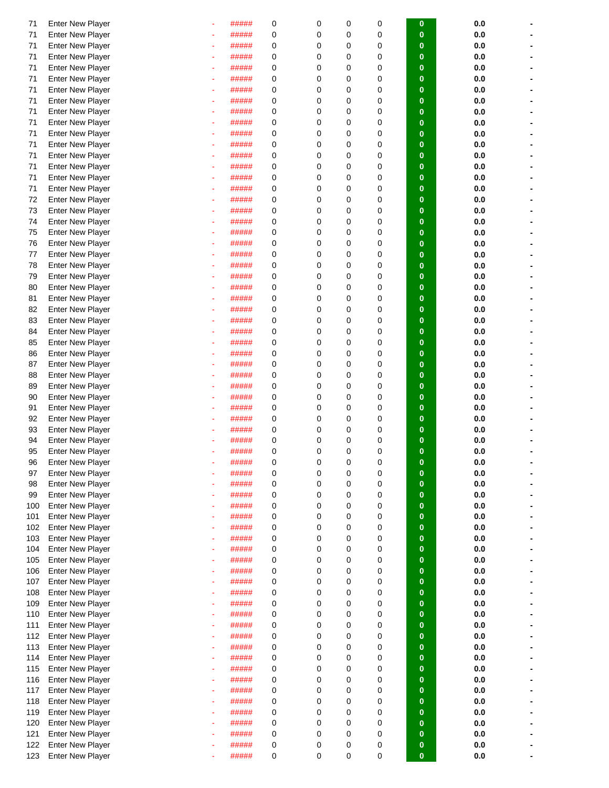| 71  | <b>Enter New Player</b> |   | ##### | 0 | 0 | 0           | 0           | 0            | 0.0 |  |
|-----|-------------------------|---|-------|---|---|-------------|-------------|--------------|-----|--|
| 71  | <b>Enter New Player</b> |   | ##### | 0 | 0 | $\mathbf 0$ | $\mathbf 0$ | $\bf{0}$     | 0.0 |  |
| 71  | <b>Enter New Player</b> |   | ##### | 0 | 0 | $\mathbf 0$ | $\mathbf 0$ | $\bf{0}$     | 0.0 |  |
|     |                         |   |       |   |   |             |             |              |     |  |
| 71  | <b>Enter New Player</b> |   | ##### | 0 | 0 | $\mathbf 0$ | $\mathbf 0$ | $\bf{0}$     | 0.0 |  |
| 71  | <b>Enter New Player</b> |   | ##### | 0 | 0 | $\mathbf 0$ | 0           | $\bf{0}$     | 0.0 |  |
| 71  | <b>Enter New Player</b> |   | ##### | 0 | 0 | $\mathbf 0$ | 0           | $\bf{0}$     | 0.0 |  |
| 71  | <b>Enter New Player</b> |   | ##### | 0 | 0 | $\mathbf 0$ | $\mathbf 0$ | $\bf{0}$     | 0.0 |  |
| 71  | <b>Enter New Player</b> |   | ##### | 0 | 0 | $\mathbf 0$ | $\mathbf 0$ | $\bf{0}$     | 0.0 |  |
|     |                         |   |       |   |   |             |             |              |     |  |
| 71  | <b>Enter New Player</b> |   | ##### | 0 | 0 | $\mathbf 0$ | $\mathbf 0$ | $\mathbf{0}$ | 0.0 |  |
| 71  | <b>Enter New Player</b> |   | ##### | 0 | 0 | $\mathbf 0$ | $\mathbf 0$ | $\bf{0}$     | 0.0 |  |
| 71  | <b>Enter New Player</b> |   | ##### | 0 | 0 | $\mathbf 0$ | 0           | $\bf{0}$     | 0.0 |  |
| 71  | <b>Enter New Player</b> |   | ##### | 0 | 0 | $\mathbf 0$ | $\mathbf 0$ | $\bf{0}$     | 0.0 |  |
| 71  | <b>Enter New Player</b> |   | ##### | 0 | 0 | $\mathbf 0$ | $\mathbf 0$ | $\bf{0}$     | 0.0 |  |
|     |                         |   |       |   | 0 | $\mathbf 0$ | $\mathbf 0$ |              |     |  |
| 71  | <b>Enter New Player</b> |   | ##### | 0 |   |             |             | $\bf{0}$     | 0.0 |  |
| 71  | <b>Enter New Player</b> |   | ##### | 0 | 0 | $\mathbf 0$ | $\mathbf 0$ | $\mathbf{0}$ | 0.0 |  |
| 71  | <b>Enter New Player</b> |   | ##### | 0 | 0 | $\mathbf 0$ | $\mathbf 0$ | $\bf{0}$     | 0.0 |  |
| 72  | <b>Enter New Player</b> |   | ##### | 0 | 0 | $\mathbf 0$ | 0           | $\bf{0}$     | 0.0 |  |
| 73  | <b>Enter New Player</b> |   | ##### | 0 | 0 | $\mathbf 0$ | 0           | $\bf{0}$     | 0.0 |  |
| 74  | <b>Enter New Player</b> |   | ##### | 0 | 0 | $\mathbf 0$ | 0           | $\bf{0}$     | 0.0 |  |
|     |                         |   |       |   |   |             |             |              |     |  |
| 75  | <b>Enter New Player</b> |   | ##### | 0 | 0 | $\mathbf 0$ | $\mathbf 0$ | $\bf{0}$     | 0.0 |  |
| 76  | <b>Enter New Player</b> |   | ##### | 0 | 0 | $\mathbf 0$ | $\mathbf 0$ | $\bf{0}$     | 0.0 |  |
| 77  | <b>Enter New Player</b> |   | ##### | 0 | 0 | $\mathbf 0$ | $\mathbf 0$ | $\bf{0}$     | 0.0 |  |
| 78  | <b>Enter New Player</b> |   | ##### | 0 | 0 | $\mathbf 0$ | $\mathbf 0$ | $\bf{0}$     | 0.0 |  |
| 79  | <b>Enter New Player</b> |   | ##### | 0 | 0 | $\mathbf 0$ | 0           | $\bf{0}$     | 0.0 |  |
|     |                         |   |       |   |   |             |             |              |     |  |
| 80  | <b>Enter New Player</b> |   | ##### | 0 | 0 | $\mathbf 0$ | 0           | $\bf{0}$     | 0.0 |  |
| 81  | <b>Enter New Player</b> |   | ##### | 0 | 0 | $\mathbf 0$ | $\mathbf 0$ | $\bf{0}$     | 0.0 |  |
| 82  | <b>Enter New Player</b> |   | ##### | 0 | 0 | $\mathbf 0$ | $\mathbf 0$ | $\bf{0}$     | 0.0 |  |
| 83  | <b>Enter New Player</b> |   | ##### | 0 | 0 | $\mathbf 0$ | $\mathbf 0$ | $\bf{0}$     | 0.0 |  |
| 84  | <b>Enter New Player</b> |   | ##### | 0 | 0 | $\mathbf 0$ | $\mathbf 0$ | $\bf{0}$     | 0.0 |  |
| 85  |                         |   | ##### | 0 | 0 | $\mathbf 0$ | 0           | $\bf{0}$     |     |  |
|     | <b>Enter New Player</b> |   |       |   |   |             |             |              | 0.0 |  |
| 86  | <b>Enter New Player</b> |   | ##### | 0 | 0 | $\mathbf 0$ | 0           | $\bf{0}$     | 0.0 |  |
| 87  | <b>Enter New Player</b> |   | ##### | 0 | 0 | $\mathbf 0$ | $\mathbf 0$ | $\bf{0}$     | 0.0 |  |
| 88  | <b>Enter New Player</b> |   | ##### | 0 | 0 | $\mathbf 0$ | $\mathbf 0$ | $\bf{0}$     | 0.0 |  |
| 89  | <b>Enter New Player</b> |   | ##### | 0 | 0 | $\mathbf 0$ | $\mathbf 0$ | $\bf{0}$     | 0.0 |  |
| 90  | <b>Enter New Player</b> |   | ##### | 0 | 0 | $\mathbf 0$ | $\mathbf 0$ | $\bf{0}$     | 0.0 |  |
|     |                         |   |       |   |   |             |             |              |     |  |
| 91  | <b>Enter New Player</b> |   | ##### | 0 | 0 | $\mathbf 0$ | 0           | $\bf{0}$     | 0.0 |  |
| 92  | <b>Enter New Player</b> |   | ##### | 0 | 0 | $\mathbf 0$ | 0           | $\bf{0}$     | 0.0 |  |
| 93  | <b>Enter New Player</b> |   | ##### | 0 | 0 | $\mathbf 0$ | $\mathbf 0$ | $\bf{0}$     | 0.0 |  |
| 94  | <b>Enter New Player</b> |   | ##### | 0 | 0 | $\mathbf 0$ | $\mathbf 0$ | $\bf{0}$     | 0.0 |  |
| 95  | <b>Enter New Player</b> |   | ##### | 0 | 0 | $\mathbf 0$ | $\mathbf 0$ | $\bf{0}$     | 0.0 |  |
| 96  | <b>Enter New Player</b> |   | ##### | 0 | 0 | 0           | 0           | U            | 0.0 |  |
|     | <b>Enter New Player</b> |   | ##### | 0 | 0 | 0           |             | $\bf{0}$     | 0.0 |  |
| 97  |                         |   |       |   |   |             | 0           |              |     |  |
| 98  | <b>Enter New Player</b> |   | ##### | 0 | 0 | $\mathbf 0$ | $\mathbf 0$ | $\bf{0}$     | 0.0 |  |
| 99  | <b>Enter New Player</b> |   | ##### | 0 | 0 | $\mathbf 0$ | $\mathbf 0$ | $\bf{0}$     | 0.0 |  |
| 100 | <b>Enter New Player</b> |   | ##### | 0 | 0 | 0           | 0           | $\bf{0}$     | 0.0 |  |
| 101 | <b>Enter New Player</b> |   | ##### | 0 | 0 | $\mathbf 0$ | 0           | $\bf{0}$     | 0.0 |  |
| 102 | <b>Enter New Player</b> |   | ##### | 0 | 0 | $\mathbf 0$ | 0           | $\bf{0}$     | 0.0 |  |
| 103 | <b>Enter New Player</b> |   | ##### | 0 | 0 | $\mathbf 0$ | 0           | $\bf{0}$     | 0.0 |  |
|     |                         |   |       |   |   |             |             |              |     |  |
| 104 | <b>Enter New Player</b> |   | ##### | 0 | 0 | $\mathbf 0$ | 0           | $\bf{0}$     | 0.0 |  |
| 105 | <b>Enter New Player</b> |   | ##### | 0 | 0 | $\mathbf 0$ | 0           | $\bf{0}$     | 0.0 |  |
| 106 | <b>Enter New Player</b> |   | ##### | 0 | 0 | $\mathbf 0$ | $\mathbf 0$ | $\bf{0}$     | 0.0 |  |
| 107 | <b>Enter New Player</b> | ٠ | ##### | 0 | 0 | $\mathbf 0$ | $\mathbf 0$ | $\bf{0}$     | 0.0 |  |
| 108 | <b>Enter New Player</b> | ۰ | ##### | 0 | 0 | $\mathbf 0$ | 0           | $\bf{0}$     | 0.0 |  |
| 109 | <b>Enter New Player</b> |   | ##### | 0 | 0 | $\mathbf 0$ | 0           | $\bf{0}$     | 0.0 |  |
|     |                         |   |       |   | 0 | $\mathbf 0$ |             |              |     |  |
| 110 | <b>Enter New Player</b> | ٠ | ##### | 0 |   |             | 0           | $\bf{0}$     | 0.0 |  |
| 111 | <b>Enter New Player</b> | ٠ | ##### | 0 | 0 | $\mathbf 0$ | 0           | $\bf{0}$     | 0.0 |  |
| 112 | <b>Enter New Player</b> |   | ##### | 0 | 0 | $\mathbf 0$ | 0           | $\bf{0}$     | 0.0 |  |
| 113 | <b>Enter New Player</b> |   | ##### | 0 | 0 | $\mathbf 0$ | 0           | $\bf{0}$     | 0.0 |  |
| 114 | <b>Enter New Player</b> |   | ##### | 0 | 0 | 0           | 0           | $\bf{0}$     | 0.0 |  |
| 115 | <b>Enter New Player</b> |   | ##### | 0 | 0 | $\mathbf 0$ | 0           | $\bf{0}$     | 0.0 |  |
| 116 | <b>Enter New Player</b> |   | ##### | 0 | 0 | $\mathbf 0$ | $\mathbf 0$ | $\bf{0}$     | 0.0 |  |
|     |                         |   |       |   |   |             |             |              |     |  |
| 117 | <b>Enter New Player</b> |   | ##### | 0 | 0 | $\mathbf 0$ | 0           | $\bf{0}$     | 0.0 |  |
| 118 | <b>Enter New Player</b> | ٠ | ##### | 0 | 0 | 0           | $\mathbf 0$ | $\bf{0}$     | 0.0 |  |
| 119 | <b>Enter New Player</b> | ٠ | ##### | 0 | 0 | $\mathbf 0$ | 0           | $\bf{0}$     | 0.0 |  |
| 120 | <b>Enter New Player</b> |   | ##### | 0 | 0 | $\mathbf 0$ | 0           | $\bf{0}$     | 0.0 |  |
| 121 | <b>Enter New Player</b> |   | ##### | 0 | 0 | $\mathbf 0$ | 0           | $\bf{0}$     | 0.0 |  |
| 122 | <b>Enter New Player</b> |   | ##### | 0 | 0 | 0           | 0           | $\bf{0}$     | 0.0 |  |
|     |                         |   |       |   |   | 0           |             |              |     |  |
| 123 | <b>Enter New Player</b> |   | ##### | 0 | 0 |             | $\mathbf 0$ | $\bf{0}$     | 0.0 |  |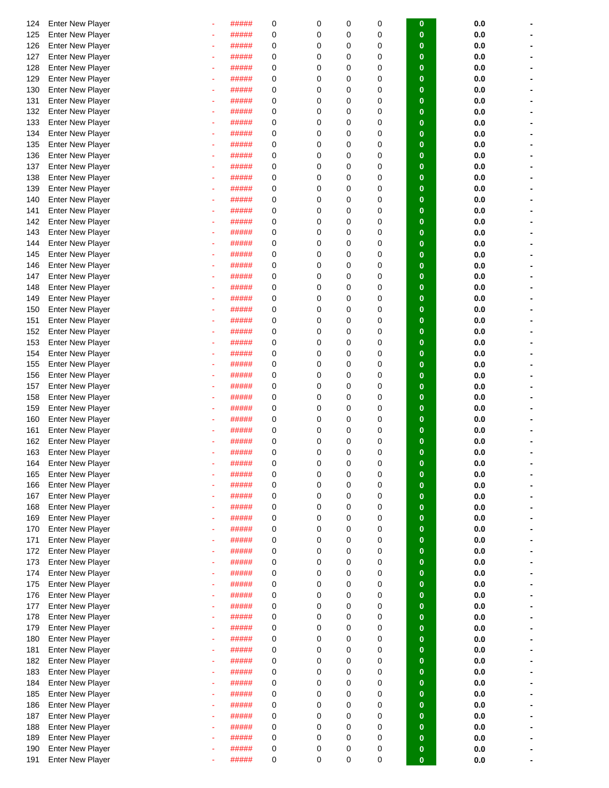| 124 | <b>Enter New Player</b> |   | ##### | 0 | 0           | 0           | 0           | 0           | 0.0     |  |
|-----|-------------------------|---|-------|---|-------------|-------------|-------------|-------------|---------|--|
| 125 | <b>Enter New Player</b> |   | ##### | 0 | 0           | 0           | 0           | $\bf{0}$    | 0.0     |  |
| 126 | <b>Enter New Player</b> |   | ##### | 0 | 0           | $\mathbf 0$ | 0           | $\bf{0}$    | 0.0     |  |
|     |                         |   |       |   |             |             |             |             |         |  |
| 127 | <b>Enter New Player</b> |   | ##### | 0 | 0           | 0           | 0           | $\bf{0}$    | 0.0     |  |
| 128 | <b>Enter New Player</b> |   | ##### | 0 | 0           | 0           | 0           | $\bf{0}$    | 0.0     |  |
| 129 | <b>Enter New Player</b> |   | ##### | 0 | 0           | 0           | 0           | $\bf{0}$    | 0.0     |  |
| 130 | <b>Enter New Player</b> |   | ##### | 0 | 0           | $\mathbf 0$ | 0           | $\bf{0}$    | 0.0     |  |
|     |                         |   |       |   |             |             |             |             |         |  |
| 131 | <b>Enter New Player</b> |   | ##### | 0 | $\Omega$    | 0           | $\mathbf 0$ | $\bf{0}$    | 0.0     |  |
| 132 | <b>Enter New Player</b> |   | ##### | 0 | 0           | 0           | 0           | $\bf{0}$    | 0.0     |  |
| 133 | <b>Enter New Player</b> |   | ##### | 0 | 0           | $\mathbf 0$ | 0           | $\bf{0}$    | 0.0     |  |
| 134 | <b>Enter New Player</b> |   | ##### | 0 | 0           | 0           | 0           | $\bf{0}$    | 0.0     |  |
| 135 | <b>Enter New Player</b> |   | ##### | 0 | 0           | 0           | 0           | $\bf{0}$    | 0.0     |  |
|     |                         |   |       |   |             |             |             |             |         |  |
| 136 | <b>Enter New Player</b> |   | ##### | 0 | 0           | $\mathbf 0$ | 0           | $\bf{0}$    | 0.0     |  |
| 137 | <b>Enter New Player</b> |   | ##### | 0 | 0           | 0           | 0           | $\bf{0}$    | 0.0     |  |
| 138 | <b>Enter New Player</b> |   | ##### | 0 | 0           | $\mathbf 0$ | $\mathbf 0$ | $\bf{0}$    | 0.0     |  |
| 139 | <b>Enter New Player</b> |   | ##### | 0 | 0           | $\mathbf 0$ | $\mathbf 0$ | $\bf{0}$    | 0.0     |  |
| 140 |                         |   | ##### | 0 | 0           | 0           | 0           | $\bf{0}$    | 0.0     |  |
|     | <b>Enter New Player</b> |   |       |   |             |             |             |             |         |  |
| 141 | <b>Enter New Player</b> |   | ##### | 0 | 0           | 0           | 0           | $\bf{0}$    | 0.0     |  |
| 142 | <b>Enter New Player</b> |   | ##### | 0 | 0           | $\mathbf 0$ | 0           | $\bf{0}$    | 0.0     |  |
| 143 | <b>Enter New Player</b> |   | ##### | 0 | 0           | $\mathbf 0$ | 0           | $\bf{0}$    | 0.0     |  |
| 144 | <b>Enter New Player</b> |   | ##### | 0 | 0           | $\mathbf 0$ | 0           | $\bf{0}$    | 0.0     |  |
|     |                         |   |       |   |             |             |             |             |         |  |
| 145 | <b>Enter New Player</b> |   | ##### | 0 | 0           | 0           | 0           | $\bf{0}$    | 0.0     |  |
| 146 | <b>Enter New Player</b> |   | ##### | 0 | 0           | 0           | 0           | $\bf{0}$    | 0.0     |  |
| 147 | <b>Enter New Player</b> |   | ##### | 0 | 0           | 0           | 0           | $\bf{0}$    | 0.0     |  |
| 148 | <b>Enter New Player</b> |   | ##### | 0 | 0           | 0           | 0           | $\bf{0}$    | 0.0     |  |
| 149 | <b>Enter New Player</b> |   | ##### | 0 | 0           | $\mathbf 0$ | 0           | $\bf{0}$    | 0.0     |  |
|     |                         |   |       |   |             |             |             |             |         |  |
| 150 | <b>Enter New Player</b> |   | ##### | 0 | $\Omega$    | 0           | $\mathbf 0$ | $\bf{0}$    | 0.0     |  |
| 151 | <b>Enter New Player</b> |   | ##### | 0 | 0           | 0           | 0           | $\bf{0}$    | 0.0     |  |
| 152 | <b>Enter New Player</b> |   | ##### | 0 | 0           | $\mathbf 0$ | 0           | $\bf{0}$    | 0.0     |  |
| 153 | <b>Enter New Player</b> |   | ##### | 0 | 0           | 0           | 0           | $\bf{0}$    | 0.0     |  |
|     |                         |   |       |   |             |             |             |             |         |  |
| 154 | <b>Enter New Player</b> |   | ##### | 0 | 0           | 0           | 0           | $\bf{0}$    | 0.0     |  |
| 155 | <b>Enter New Player</b> |   | ##### | 0 | 0           | $\mathbf 0$ | 0           | $\bf{0}$    | 0.0     |  |
| 156 | <b>Enter New Player</b> |   | ##### | 0 | 0           | 0           | 0           | $\bf{0}$    | 0.0     |  |
| 157 | <b>Enter New Player</b> |   | ##### | 0 | 0           | 0           | 0           | $\bf{0}$    | 0.0     |  |
| 158 | <b>Enter New Player</b> |   | ##### | 0 | 0           | $\mathbf 0$ | 0           | $\bf{0}$    | 0.0     |  |
|     |                         |   |       |   |             |             |             |             |         |  |
| 159 | <b>Enter New Player</b> |   | ##### | 0 | 0           | 0           | 0           | $\bf{0}$    | 0.0     |  |
| 160 | <b>Enter New Player</b> |   | ##### | 0 | 0           | 0           | 0           | $\bf{0}$    | 0.0     |  |
| 161 | <b>Enter New Player</b> |   | ##### | 0 | 0           | $\mathbf 0$ | $\mathbf 0$ | $\bf{0}$    | 0.0     |  |
| 162 | <b>Enter New Player</b> |   | ##### | 0 | 0           | 0           | 0           | $\bf{0}$    | 0.0     |  |
| 163 | <b>Enter New Player</b> |   | ##### | 0 | 0           | 0           | 0           | $\bf{0}$    | 0.0     |  |
|     |                         |   |       |   |             |             |             |             |         |  |
| 164 | <b>Enter New Player</b> |   | ##### | O | O           | 0           | O           | o           | 0.0     |  |
| 165 | <b>Enter New Player</b> |   | ##### | 0 | 0           | 0           | 0           | $\bf{0}$    | 0.0     |  |
| 166 | <b>Enter New Player</b> |   | ##### | 0 | 0           | 0           | $\mathbf 0$ | $\bf{0}$    | 0.0     |  |
| 167 | <b>Enter New Player</b> |   | ##### | 0 | 0           | $\mathbf 0$ | $\mathbf 0$ | $\bf{0}$    | 0.0     |  |
| 168 | <b>Enter New Player</b> |   | ##### | 0 | 0           | $\mathbf 0$ | 0           | $\bf{0}$    | 0.0     |  |
|     |                         |   |       |   |             |             |             |             |         |  |
| 169 | <b>Enter New Player</b> |   | ##### | 0 | 0           | $\mathbf 0$ | $\mathbf 0$ | $\bf{0}$    | 0.0     |  |
| 170 | <b>Enter New Player</b> |   | ##### | 0 | 0           | $\mathbf 0$ | $\mathbf 0$ | $\bf{0}$    | 0.0     |  |
| 171 | <b>Enter New Player</b> | ٠ | ##### | 0 | 0           | $\mathbf 0$ | $\mathbf 0$ | $\mathbf 0$ | 0.0     |  |
| 172 | <b>Enter New Player</b> |   | ##### | 0 | 0           | 0           | $\mathbf 0$ | $\bf{0}$    | 0.0     |  |
| 173 | <b>Enter New Player</b> |   | ##### | 0 | 0           | $\mathbf 0$ | $\mathbf 0$ | $\bf{0}$    | 0.0     |  |
|     |                         |   |       |   |             |             |             |             |         |  |
| 174 | <b>Enter New Player</b> |   | ##### | 0 | 0           | $\mathbf 0$ | 0           | $\bf{0}$    | 0.0     |  |
| 175 | <b>Enter New Player</b> |   | ##### | 0 | 0           | $\mathbf 0$ | $\mathbf 0$ | $\bf{0}$    | 0.0     |  |
| 176 | <b>Enter New Player</b> |   | ##### | 0 | 0           | $\mathbf 0$ | $\mathbf 0$ | $\bf{0}$    | 0.0     |  |
| 177 | <b>Enter New Player</b> |   | ##### | 0 | 0           | $\mathbf 0$ | $\mathbf 0$ | $\mathbf 0$ | 0.0     |  |
|     | <b>Enter New Player</b> |   | ##### | 0 | 0           | $\mathbf 0$ | $\mathbf 0$ |             |         |  |
| 178 |                         |   |       |   |             |             |             | $\mathbf 0$ | 0.0     |  |
| 179 | <b>Enter New Player</b> |   | ##### | 0 | 0           | 0           | $\mathbf 0$ | $\bf{0}$    | 0.0     |  |
| 180 | <b>Enter New Player</b> |   | ##### | 0 | 0           | $\mathbf 0$ | 0           | $\bf{0}$    | 0.0     |  |
| 181 | <b>Enter New Player</b> |   | ##### | 0 | 0           | $\mathbf 0$ | 0           | $\bf{0}$    | 0.0     |  |
| 182 | <b>Enter New Player</b> | ٠ | ##### | 0 | 0           | 0           | 0           | $\bf{0}$    | 0.0     |  |
|     |                         |   |       |   |             |             |             |             |         |  |
| 183 | <b>Enter New Player</b> |   | ##### | 0 | 0           | $\mathbf 0$ | $\mathbf 0$ | $\bf{0}$    | 0.0     |  |
| 184 | <b>Enter New Player</b> | ٠ | ##### | 0 | 0           | $\mathbf 0$ | $\mathbf 0$ | $\mathbf 0$ | 0.0     |  |
| 185 | <b>Enter New Player</b> |   | ##### | 0 | 0           | 0           | $\mathbf 0$ | $\bf{0}$    | 0.0     |  |
| 186 | <b>Enter New Player</b> |   | ##### | 0 | 0           | $\mathbf 0$ | $\mathbf 0$ | $\bf{0}$    | 0.0     |  |
| 187 | <b>Enter New Player</b> |   | ##### | 0 | 0           | $\mathbf 0$ | $\mathbf 0$ | $\mathbf 0$ | 0.0     |  |
|     |                         |   |       |   |             |             |             | $\bf{0}$    |         |  |
| 188 | <b>Enter New Player</b> |   | ##### | 0 | 0           | 0           | 0           |             | 0.0     |  |
| 189 | <b>Enter New Player</b> |   | ##### | 0 | 0           | $\mathbf 0$ | $\mathbf 0$ | $\bf{0}$    | 0.0     |  |
| 190 | <b>Enter New Player</b> |   | ##### | 0 | 0           | 0           | $\mathbf 0$ | $\bf{0}$    | $0.0\,$ |  |
| 191 | <b>Enter New Player</b> |   | ##### | 0 | $\mathbf 0$ | $\mathbf 0$ | $\mathbf 0$ | $\bf{0}$    | 0.0     |  |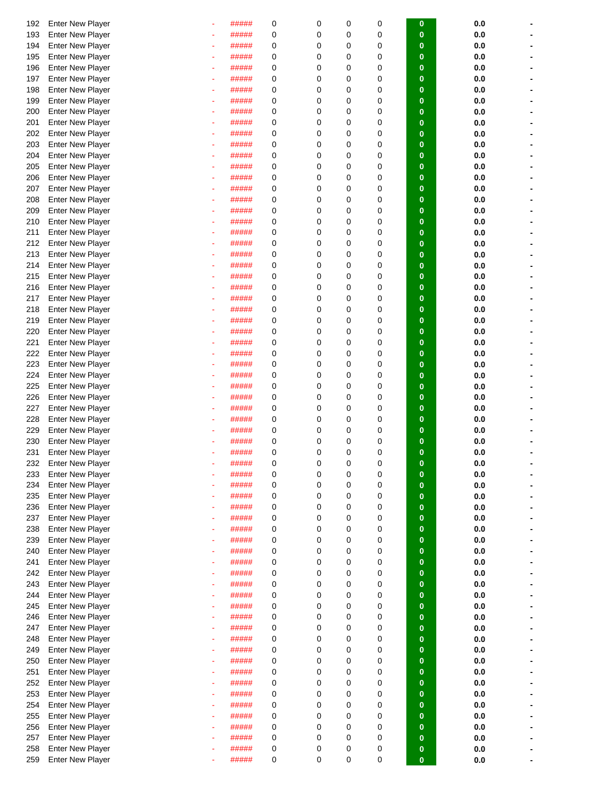| 192 | <b>Enter New Player</b> |   | ##### | 0 | 0        | 0           | 0           |             |         |  |
|-----|-------------------------|---|-------|---|----------|-------------|-------------|-------------|---------|--|
|     |                         |   |       |   |          |             |             | 0           | 0.0     |  |
| 193 | <b>Enter New Player</b> |   | ##### | 0 | 0        | 0           | 0           | $\bf{0}$    | 0.0     |  |
| 194 | <b>Enter New Player</b> |   | ##### | 0 | 0        | $\mathbf 0$ | 0           | $\bf{0}$    | 0.0     |  |
| 195 | <b>Enter New Player</b> |   | ##### | 0 | 0        | 0           | 0           | $\bf{0}$    | 0.0     |  |
| 196 | <b>Enter New Player</b> |   | ##### | 0 | 0        | 0           | 0           | $\bf{0}$    | 0.0     |  |
| 197 | <b>Enter New Player</b> |   | ##### | 0 | 0        | 0           | 0           | $\bf{0}$    | 0.0     |  |
| 198 | <b>Enter New Player</b> |   | ##### | 0 | 0        | $\mathbf 0$ | 0           | $\bf{0}$    | 0.0     |  |
| 199 | <b>Enter New Player</b> |   | ##### | 0 | 0        | $\mathbf 0$ | 0           | $\bf{0}$    | 0.0     |  |
|     |                         |   |       |   |          | 0           |             | $\bf{0}$    |         |  |
| 200 | <b>Enter New Player</b> |   | ##### | 0 | 0        |             | 0           |             | 0.0     |  |
| 201 | <b>Enter New Player</b> |   | ##### | 0 | 0        | 0           | 0           | $\bf{0}$    | 0.0     |  |
| 202 | <b>Enter New Player</b> |   | ##### | 0 | 0        | 0           | 0           | $\bf{0}$    | 0.0     |  |
| 203 | <b>Enter New Player</b> |   | ##### | 0 | 0        | 0           | 0           | $\bf{0}$    | 0.0     |  |
| 204 | <b>Enter New Player</b> |   | ##### | 0 | 0        | $\mathbf 0$ | 0           | $\bf{0}$    | 0.0     |  |
| 205 | <b>Enter New Player</b> |   | ##### | 0 | 0        | $\mathbf 0$ | $\mathbf 0$ | $\bf{0}$    | 0.0     |  |
| 206 | <b>Enter New Player</b> |   | ##### | 0 | 0        | 0           | $\mathbf 0$ | $\bf{0}$    | 0.0     |  |
| 207 | <b>Enter New Player</b> |   | ##### | 0 | 0        | $\mathbf 0$ | 0           | $\bf{0}$    | 0.0     |  |
| 208 | <b>Enter New Player</b> |   | ##### | 0 | 0        | 0           | 0           | $\bf{0}$    | 0.0     |  |
|     |                         |   |       |   |          |             |             |             |         |  |
| 209 | <b>Enter New Player</b> |   | ##### | 0 | 0        | 0           | 0           | $\bf{0}$    | 0.0     |  |
| 210 | <b>Enter New Player</b> |   | ##### | 0 | 0        | $\mathbf 0$ | 0           | $\bf{0}$    | 0.0     |  |
| 211 | <b>Enter New Player</b> |   | ##### | 0 | 0        | 0           | 0           | $\bf{0}$    | 0.0     |  |
| 212 | <b>Enter New Player</b> |   | ##### | 0 | 0        | 0           | 0           | $\bf{0}$    | 0.0     |  |
| 213 | <b>Enter New Player</b> |   | ##### | 0 | 0        | 0           | 0           | $\bf{0}$    | 0.0     |  |
| 214 | <b>Enter New Player</b> |   | ##### | 0 | 0        | 0           | 0           | $\bf{0}$    | 0.0     |  |
| 215 | <b>Enter New Player</b> |   | ##### | 0 | 0        | 0           | 0           | $\bf{0}$    | 0.0     |  |
| 216 | <b>Enter New Player</b> |   | ##### | 0 | 0        | $\mathbf 0$ | 0           | $\bf{0}$    | 0.0     |  |
|     |                         |   |       |   |          |             |             |             |         |  |
| 217 | <b>Enter New Player</b> |   | ##### | 0 | 0        | 0           | 0           | $\bf{0}$    | 0.0     |  |
| 218 | <b>Enter New Player</b> |   | ##### | 0 | 0        | $\mathbf 0$ | 0           | $\bf{0}$    | 0.0     |  |
| 219 | <b>Enter New Player</b> |   | ##### | 0 | 0        | $\mathbf 0$ | $\mathbf 0$ | $\bf{0}$    | 0.0     |  |
| 220 | <b>Enter New Player</b> |   | ##### | 0 | 0        | 0           | 0           | $\bf{0}$    | 0.0     |  |
| 221 | <b>Enter New Player</b> |   | ##### | 0 | 0        | $\mathbf 0$ | 0           | $\bf{0}$    | 0.0     |  |
| 222 | <b>Enter New Player</b> |   | ##### | 0 | 0        | 0           | 0           | $\bf{0}$    | 0.0     |  |
| 223 | <b>Enter New Player</b> |   | ##### | 0 | 0        | $\mathbf 0$ | 0           | $\bf{0}$    | 0.0     |  |
| 224 | <b>Enter New Player</b> |   | ##### | 0 | $\Omega$ | 0           | 0           | $\bf{0}$    | 0.0     |  |
|     |                         |   |       | 0 | 0        | 0           | 0           | $\bf{0}$    | 0.0     |  |
| 225 | <b>Enter New Player</b> |   | ##### |   |          |             |             |             |         |  |
| 226 | <b>Enter New Player</b> |   | ##### | 0 | 0        | 0           | 0           | $\bf{0}$    | 0.0     |  |
| 227 | <b>Enter New Player</b> |   | ##### | 0 | 0        | 0           | 0           | $\bf{0}$    | 0.0     |  |
| 228 | <b>Enter New Player</b> |   | ##### | 0 | 0        | $\mathbf 0$ | 0           | $\bf{0}$    | 0.0     |  |
| 229 | <b>Enter New Player</b> |   | ##### | 0 | 0        | $\mathbf 0$ | 0           | $\bf{0}$    | 0.0     |  |
| 230 | <b>Enter New Player</b> |   | ##### | 0 | 0        | 0           | 0           | $\bf{0}$    | 0.0     |  |
| 231 | <b>Enter New Player</b> |   | ##### | 0 | 0        | 0           | 0           | $\bf{0}$    | 0.0     |  |
| 232 | <b>Enter New Player</b> |   | ##### | 0 | 0        | 0           | 0           | O           | 0.0     |  |
| 233 | <b>Enter New Player</b> |   | ##### | 0 | 0        | 0           | $\mathbf 0$ | $\bf{0}$    | 0.0     |  |
|     |                         |   | ##### |   | 0        | 0           |             | $\bf{0}$    |         |  |
| 234 | <b>Enter New Player</b> |   |       | 0 |          |             | $\mathbf 0$ |             | 0.0     |  |
| 235 | <b>Enter New Player</b> |   | ##### | 0 | 0        | $\mathbf 0$ | $\mathbf 0$ | $\bf{0}$    | 0.0     |  |
| 236 | <b>Enter New Player</b> | ۰ | ##### | 0 | 0        | 0           | 0           | $\bf{0}$    | 0.0     |  |
| 237 | <b>Enter New Player</b> | ٠ | ##### | 0 | 0        | $\mathbf 0$ | $\mathbf 0$ | $\bf{0}$    | 0.0     |  |
| 238 | <b>Enter New Player</b> |   | ##### | 0 | 0        | $\mathbf 0$ | $\mathbf 0$ | $\bf{0}$    | 0.0     |  |
| 239 | <b>Enter New Player</b> |   | ##### | 0 | 0        | 0           | $\mathbf 0$ | $\mathbf 0$ | 0.0     |  |
| 240 | <b>Enter New Player</b> |   | ##### | 0 | 0        | 0           | 0           | $\mathbf 0$ | 0.0     |  |
| 241 | <b>Enter New Player</b> |   | ##### | 0 | 0        | $\mathbf 0$ | 0           | $\bf{0}$    | 0.0     |  |
| 242 | <b>Enter New Player</b> |   | ##### | 0 | 0        | $\mathbf 0$ | 0           | $\bf{0}$    | 0.0     |  |
| 243 | <b>Enter New Player</b> |   | ##### | 0 | 0        | 0           | $\mathbf 0$ | $\bf{0}$    | 0.0     |  |
|     |                         |   |       |   |          |             |             |             |         |  |
| 244 | <b>Enter New Player</b> |   | ##### | 0 | 0        | $\mathbf 0$ | $\mathbf 0$ | $\bf{0}$    | 0.0     |  |
| 245 | <b>Enter New Player</b> | ٠ | ##### | 0 | 0        | $\mathbf 0$ | $\mathbf 0$ | $\mathbf 0$ | 0.0     |  |
| 246 | Enter New Player        |   | ##### | 0 | 0        | 0           | 0           | $\bf{0}$    | 0.0     |  |
| 247 | <b>Enter New Player</b> |   | ##### | 0 | 0        | $\mathbf 0$ | $\mathbf 0$ | $\bf{0}$    | 0.0     |  |
| 248 | <b>Enter New Player</b> |   | ##### | 0 | 0        | $\mathbf 0$ | 0           | $\bf{0}$    | 0.0     |  |
| 249 | <b>Enter New Player</b> |   | ##### | 0 | 0        | $\mathbf 0$ | 0           | $\bf{0}$    | 0.0     |  |
| 250 | <b>Enter New Player</b> |   | ##### | 0 | 0        | $\mathbf 0$ | $\mathbf 0$ | $\bf{0}$    | 0.0     |  |
| 251 | <b>Enter New Player</b> |   | ##### | 0 | 0        | $\mathbf 0$ | $\mathbf 0$ | $\bf{0}$    | 0.0     |  |
| 252 | <b>Enter New Player</b> |   | ##### | 0 | 0        | 0           | $\mathbf 0$ | $\bf{0}$    | 0.0     |  |
|     |                         |   |       |   |          |             |             |             |         |  |
| 253 | <b>Enter New Player</b> |   | ##### | 0 | 0        | $\mathbf 0$ | $\mathbf 0$ | $\bf{0}$    | 0.0     |  |
| 254 | <b>Enter New Player</b> |   | ##### | 0 | 0        | $\mathbf 0$ | 0           | $\bf{0}$    | 0.0     |  |
| 255 | <b>Enter New Player</b> |   | ##### | 0 | 0        | $\mathbf 0$ | 0           | $\bf{0}$    | 0.0     |  |
| 256 | <b>Enter New Player</b> |   | ##### | 0 | 0        | 0           | 0           | $\bf{0}$    | 0.0     |  |
| 257 | <b>Enter New Player</b> |   | ##### | 0 | 0        | $\mathbf 0$ | $\mathbf 0$ | $\bf{0}$    | 0.0     |  |
| 258 | <b>Enter New Player</b> |   | ##### | 0 | 0        | 0           | $\mathbf 0$ | $\bf{0}$    | $0.0\,$ |  |
| 259 | <b>Enter New Player</b> |   | ##### | 0 | 0        | 0           | $\mathbf 0$ | $\bf{0}$    | 0.0     |  |